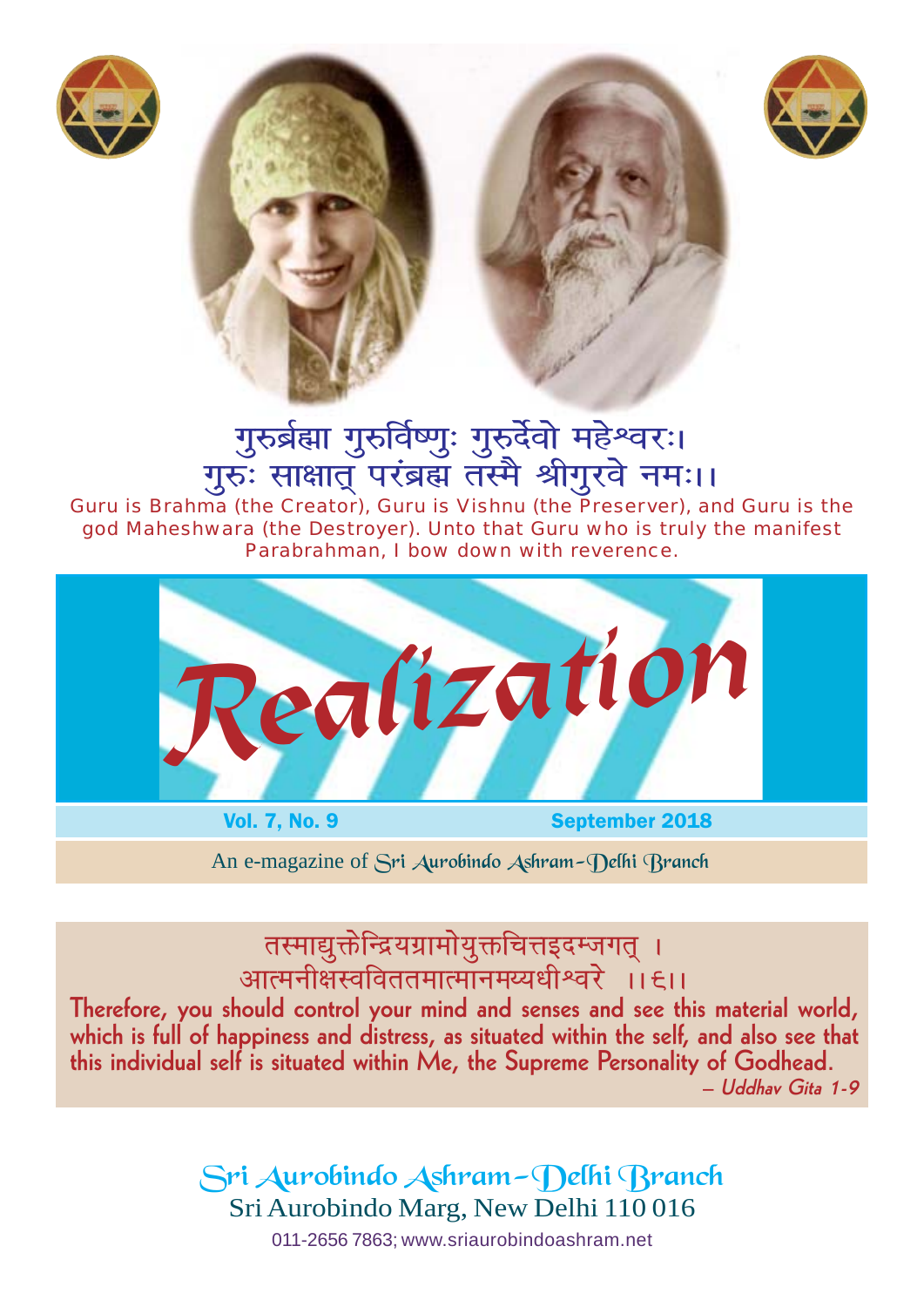







# गुरुर्ब्रह्मा गुरुर्विष्णुः गुरु<mark>र्देवो महेश्वरः</mark>। ्ड स्टेल्ड स्ट्रैल के अन्य करने होता.<br>गुरुः साक्षात् परंब्रह्म तस्मै श्रीगुरवे नमः।।

Guru is Brahma (the Creator), Guru is Vishnu (the Preserver), and Guru is the god Maheshwara (the Destroyer). Unto that Guru who is truly the manifest Parabrahman, I bow down with reverence.



An e-magazine of Sri Aurobindo Ashram-Delhi Branch

## तस्माद्युक्तेन्द्रियग्रामोयुक्तचित्तइदम्जगत् । आत्मनीक्षस्वविततमात्मानमय्यधीश्वरे ।। <del>६</del>।।

**Therefore, you should control your mind and senses and see this material world, which is full of happiness and distress, as situated within the self, and also see that this individual self is situated within Me, the Supreme Personality of Godhead. – Uddhav Gita 1-9**

> Sri Aurobindo Ashram-Delhi Branch Sri Aurobindo Marg, New Delhi 110 016

011-2656 7863; www.sriaurobindoashram.net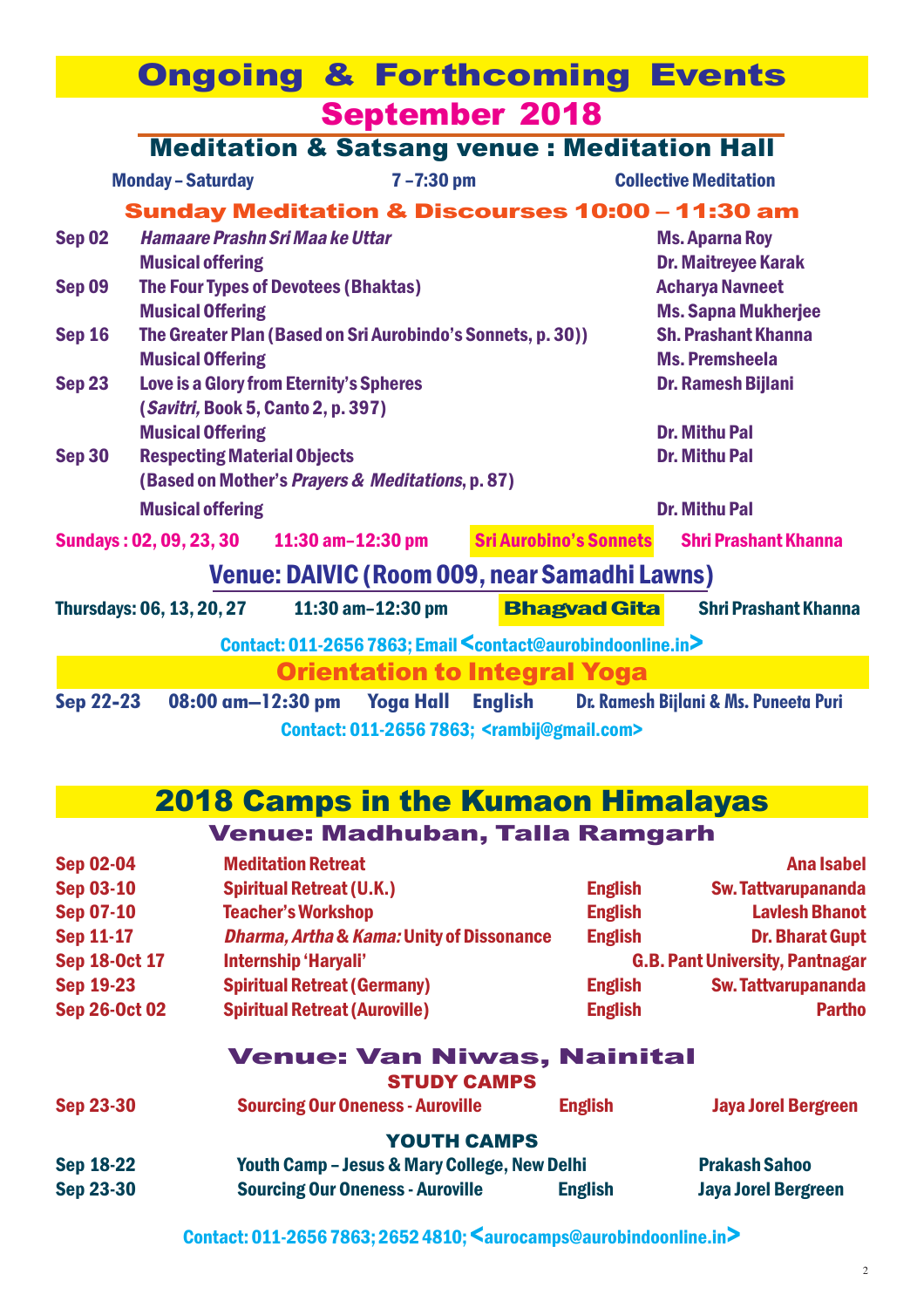## Ongoing & Forthcoming Events September 2018

|                                                                                         | <b>Meditation &amp; Satsang venue: Meditation Hall</b>      |                   |                                                               |  |  |                               |                              |                                       |
|-----------------------------------------------------------------------------------------|-------------------------------------------------------------|-------------------|---------------------------------------------------------------|--|--|-------------------------------|------------------------------|---------------------------------------|
|                                                                                         | <b>Monday - Saturday</b>                                    |                   | $7 - 7:30$ pm                                                 |  |  |                               | <b>Collective Meditation</b> |                                       |
|                                                                                         | <b>Sunday Meditation &amp; Discourses 10:00 - 11:30 am</b>  |                   |                                                               |  |  |                               |                              |                                       |
| <b>Sep 02</b>                                                                           | <b>Hamaare Prashn Sri Maa ke Uttar</b>                      |                   |                                                               |  |  |                               | <b>Ms. Aparna Roy</b>        |                                       |
|                                                                                         | <b>Musical offering</b>                                     |                   |                                                               |  |  |                               | <b>Dr. Maitreyee Karak</b>   |                                       |
| <b>Sep 09</b>                                                                           | <b>The Four Types of Devotees (Bhaktas)</b>                 |                   |                                                               |  |  |                               | <b>Acharya Navneet</b>       |                                       |
|                                                                                         | <b>Musical Offering</b>                                     |                   |                                                               |  |  |                               | <b>Ms. Sapna Mukherjee</b>   |                                       |
| <b>Sep 16</b>                                                                           | The Greater Plan (Based on Sri Aurobindo's Sonnets, p. 30)) |                   |                                                               |  |  |                               | <b>Sh. Prashant Khanna</b>   |                                       |
|                                                                                         | <b>Musical Offering</b>                                     |                   |                                                               |  |  |                               | <b>Ms. Premsheela</b>        |                                       |
| <b>Sep 23</b>                                                                           | Love is a Glory from Eternity's Spheres                     |                   |                                                               |  |  |                               | Dr. Ramesh Bijlani           |                                       |
|                                                                                         | (Savitri, Book 5, Canto 2, p. 397)                          |                   |                                                               |  |  |                               |                              |                                       |
|                                                                                         | <b>Musical Offering</b>                                     |                   |                                                               |  |  |                               | <b>Dr. Mithu Pal</b>         |                                       |
| <b>Sep 30</b>                                                                           | <b>Respecting Material Objects</b>                          |                   |                                                               |  |  |                               | <b>Dr. Mithu Pal</b>         |                                       |
|                                                                                         | (Based on Mother's Prayers & Meditations, p. 87)            |                   |                                                               |  |  |                               |                              |                                       |
|                                                                                         | <b>Musical offering</b>                                     |                   |                                                               |  |  |                               | <b>Dr. Mithu Pal</b>         |                                       |
|                                                                                         | Sundays: 02, 09, 23, 30                                     | 11:30 am-12:30 pm |                                                               |  |  | <b>Sri Aurobino's Sonnets</b> |                              | <b>Shri Prashant Khanna</b>           |
| Venue: DAIVIC (Room 009, near Samadhi Lawns)                                            |                                                             |                   |                                                               |  |  |                               |                              |                                       |
|                                                                                         | <b>Thursdays: 06, 13, 20, 27</b>                            |                   | 11:30 am-12:30 pm                                             |  |  | <b>Bhagvad Gita</b>           |                              | <b>Shri Prashant Khanna</b>           |
| Contact: 011-2656 7863; Email <contact@aurobindoonline.in></contact@aurobindoonline.in> |                                                             |                   |                                                               |  |  |                               |                              |                                       |
| <b>Orientation to Integral Yoga</b>                                                     |                                                             |                   |                                                               |  |  |                               |                              |                                       |
| <b>Sep 22-23</b>                                                                        |                                                             |                   | 08:00 am-12:30 pm Yoga Hall English                           |  |  |                               |                              | Dr. Ramesh Bijlani & Ms. Puneeta Puri |
|                                                                                         |                                                             |                   | Contact: 011-2656 7863; <rambij@gmail.com></rambij@gmail.com> |  |  |                               |                              |                                       |

## 2018 Camps in the Kumaon Himalayas Venue: Madhuban, Talla Ramgarh

| <b>Sep 02-04</b>     | <b>Meditation Retreat</b>                               |                | <b>Analsabel</b>                       |
|----------------------|---------------------------------------------------------|----------------|----------------------------------------|
| <b>Sep 03-10</b>     | <b>Spiritual Retreat (U.K.)</b>                         | <b>English</b> | <b>Sw. Tattvarupananda</b>             |
| <b>Sep 07-10</b>     | <b>Teacher's Workshop</b>                               | <b>English</b> | <b>Laviesh Bhanot</b>                  |
| <b>Sep 11-17</b>     | <b>Dharma, Artha &amp; Kama: Unity of Dissonance</b>    | <b>English</b> | <b>Dr. Bharat Gupt</b>                 |
| <b>Sep 18-Oct 17</b> | Internship 'Haryali'                                    |                | <b>G.B. Pant University, Pantnagar</b> |
| <b>Sep 19-23</b>     | <b>Spiritual Retreat (Germany)</b>                      | <b>English</b> | <b>Sw. Tattvarupananda</b>             |
| <b>Sep 26-Oct 02</b> | <b>Spiritual Retreat (Auroville)</b>                    | <b>English</b> | <b>Partho</b>                          |
|                      | <b>Venue: Van Niwas, Nainital</b><br><b>STUDY CAMPS</b> |                |                                        |
| <b>Sep 23-30</b>     | <b>Sourcing Our Oneness - Auroville</b>                 | <b>English</b> | <b>Jaya Jorel Bergreen</b>             |
|                      | <b>YOUTH CAMPS</b>                                      |                |                                        |
|                      |                                                         |                |                                        |
| <b>Sep 18-22</b>     | <b>Youth Camp - Jesus &amp; Mary College, New Delhi</b> |                | <b>Prakash Sahoo</b>                   |

Contact: 011-2656 7863; 2652 4810;  $\leq$ aurocamps@aurobindoonline.in>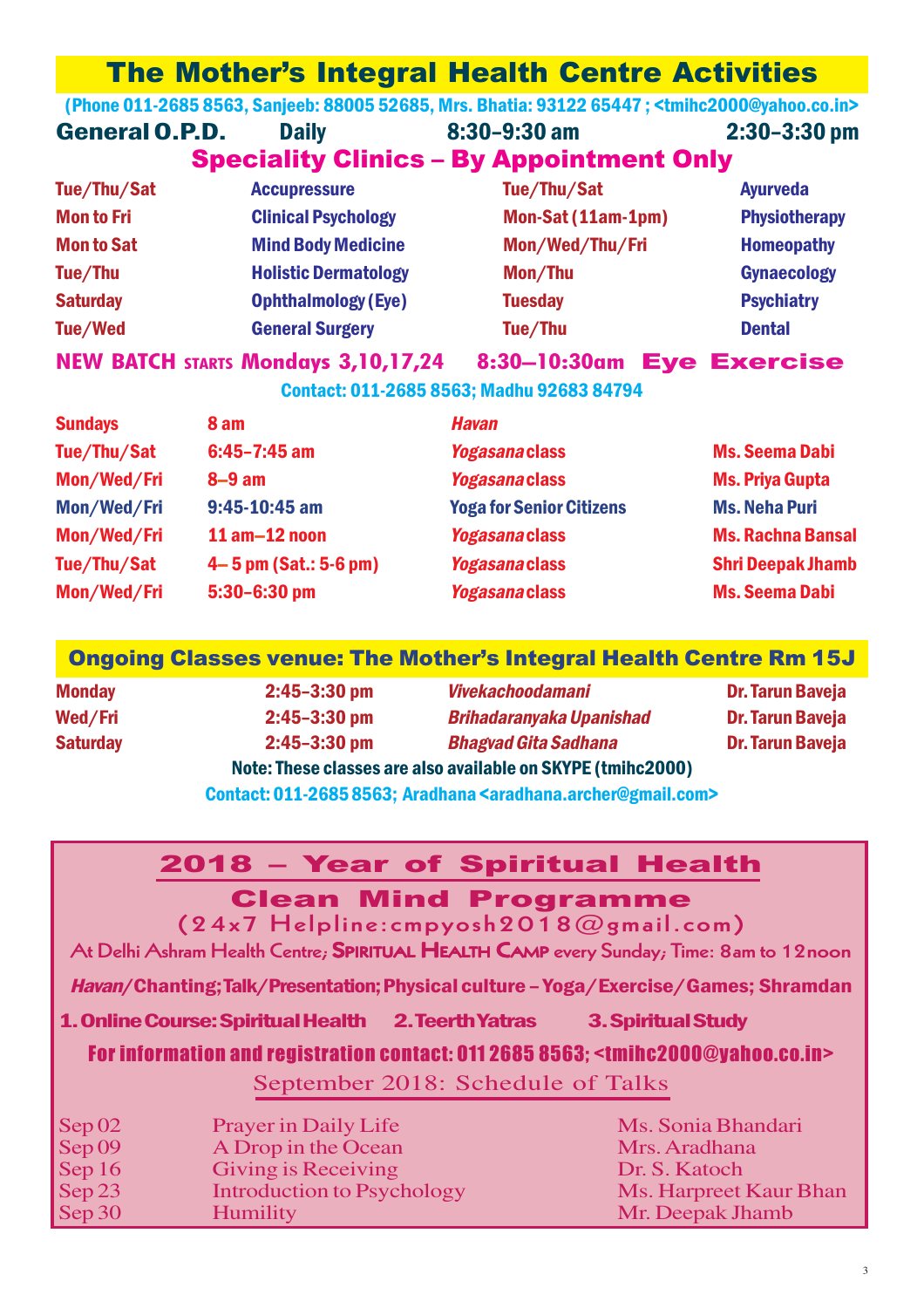## The Mother's Integral Health Centre Activities

(Phone 011-2685 8563, Sanjeeb: 88005 52685, Mrs. Bhatia: 93122 65447 ; <tmihc2000@yahoo.co.in>

| <b>General O.P.D.</b> | <b>Daily</b>                               | $8:30 - 9:30$ am                                | $2:30-3:30$ pm       |
|-----------------------|--------------------------------------------|-------------------------------------------------|----------------------|
|                       |                                            | <b>Speciality Clinics - By Appointment Only</b> |                      |
| Tue/Thu/Sat           | <b>Accupressure</b>                        | Tue/Thu/Sat                                     | <b>Ayurveda</b>      |
| <b>Mon to Fri</b>     | <b>Clinical Psychology</b>                 | Mon-Sat (11am-1pm)                              | <b>Physiotherapy</b> |
| <b>Mon to Sat</b>     | <b>Mind Body Medicine</b>                  | Mon/Wed/Thu/Fri                                 | <b>Homeopathy</b>    |
| Tue/Thu               | <b>Holistic Dermatology</b>                | Mon/Thu                                         | <b>Gynaecology</b>   |
| <b>Saturday</b>       | <b>Ophthalmology (Eye)</b>                 | <b>Tuesday</b>                                  | <b>Psychiatry</b>    |
| <b>Tue/Wed</b>        | <b>General Surgery</b>                     | Tue/Thu                                         | <b>Dental</b>        |
|                       | <b>NEW BATCH STARTS Mondays 3,10,17,24</b> | 8:30-10:30am Eye Exercise                       |                      |
|                       |                                            | Contact: 011-2685 8563; Madhu 92683 84794       |                      |
| Cundove               | $Q_{nm}$                                   | $\mathbf{u}$ ovon                               |                      |

| <b>Sundays</b> | 8 am                      | <b>Havan</b>                    |                          |
|----------------|---------------------------|---------------------------------|--------------------------|
| Tue/Thu/Sat    | $6:45 - 7:45$ am          | <i><b>Yogasanaclass</b></i>     | <b>Ms. Seema Dabi</b>    |
| Mon/Wed/Fri    | $8-9$ am                  | <b>Yogasanaclass</b>            | <b>Ms. Priya Gupta</b>   |
| Mon/Wed/Fri    | $9:45-10:45$ am           | <b>Yoga for Senior Citizens</b> | <b>Ms. Neha Puri</b>     |
| Mon/Wed/Fri    | $11$ am $-12$ noon        | <i><b>Yogasanaclass</b></i>     | <b>Ms. Rachna Bansal</b> |
| Tue/Thu/Sat    | $4 - 5$ pm (Sat.: 5-6 pm) | <b>Yogasanaclass</b>            | <b>Shri Deepak Jhamb</b> |
| Mon/Wed/Fri    | $5:30-6:30$ pm            | <i><b>Yogasanaclass</b></i>     | <b>Ms. Seema Dabi</b>    |

### Ongoing Classes venue: The Mother's Integral Health Centre Rm 15J

| <b>Monday</b>   | $2:45 - 3:30$ pm | Vivekachoodamani                                            | <b>Dr. Tarun Baveja</b> |
|-----------------|------------------|-------------------------------------------------------------|-------------------------|
| Wed/Fri         | $2:45 - 3:30$ pm | <b>Brihadaranyaka Upanishad</b>                             | <b>Dr. Tarun Baveja</b> |
| <b>Saturday</b> | $2:45 - 3:30$ pm | <b>Bhagyad Gita Sadhana</b>                                 | <b>Dr. Tarun Baveja</b> |
|                 |                  | Note: These classes are also available on SKYPE (tmihc2000) |                         |

Contact: 011-2685 8563; Aradhana <aradhana.archer@gmail.com>

## 2018 – Year of Spiritual Health

Clean Mind Programme

**(24x7 Helpline:cmpyosh2018@gmail.com)**

**At Delhi Ashram Health Centre; SPIRITUAL HEALTH CAMP every Sunday; Time: 8am to 12noon**

Havan/Chanting; Talk/Presentation; Physical culture – Yoga/Exercise/Games; Shramdan

1. Online Course: Spiritual Health 2. Teerth Yatras 3. Spiritual Study

For information and registration contact: 011 2685 8563; <tmihc2000@yahoo.co.in>

September 2018: Schedule of Talks

| $\sqrt{\text{Sep }02}$ | <b>Prayer in Daily Life</b>       | Ms. Sonia Bhandari         |
|------------------------|-----------------------------------|----------------------------|
| $\sqrt{\text{Sep }09}$ | A Drop in the Ocean               | Mrs. Aradhana              |
| $\sqrt{\text{Sep }16}$ | Giving is Receiving               | Dr. S. Katoch              |
| $\sqrt{\text{Sep }23}$ | <b>Introduction to Psychology</b> | <b>Ms. Harpreet Kaur I</b> |
| $\sqrt{\text{Sep }30}$ | <b>Humility</b>                   | Mr. Deepak Jhamb           |

eet Kaur Bhan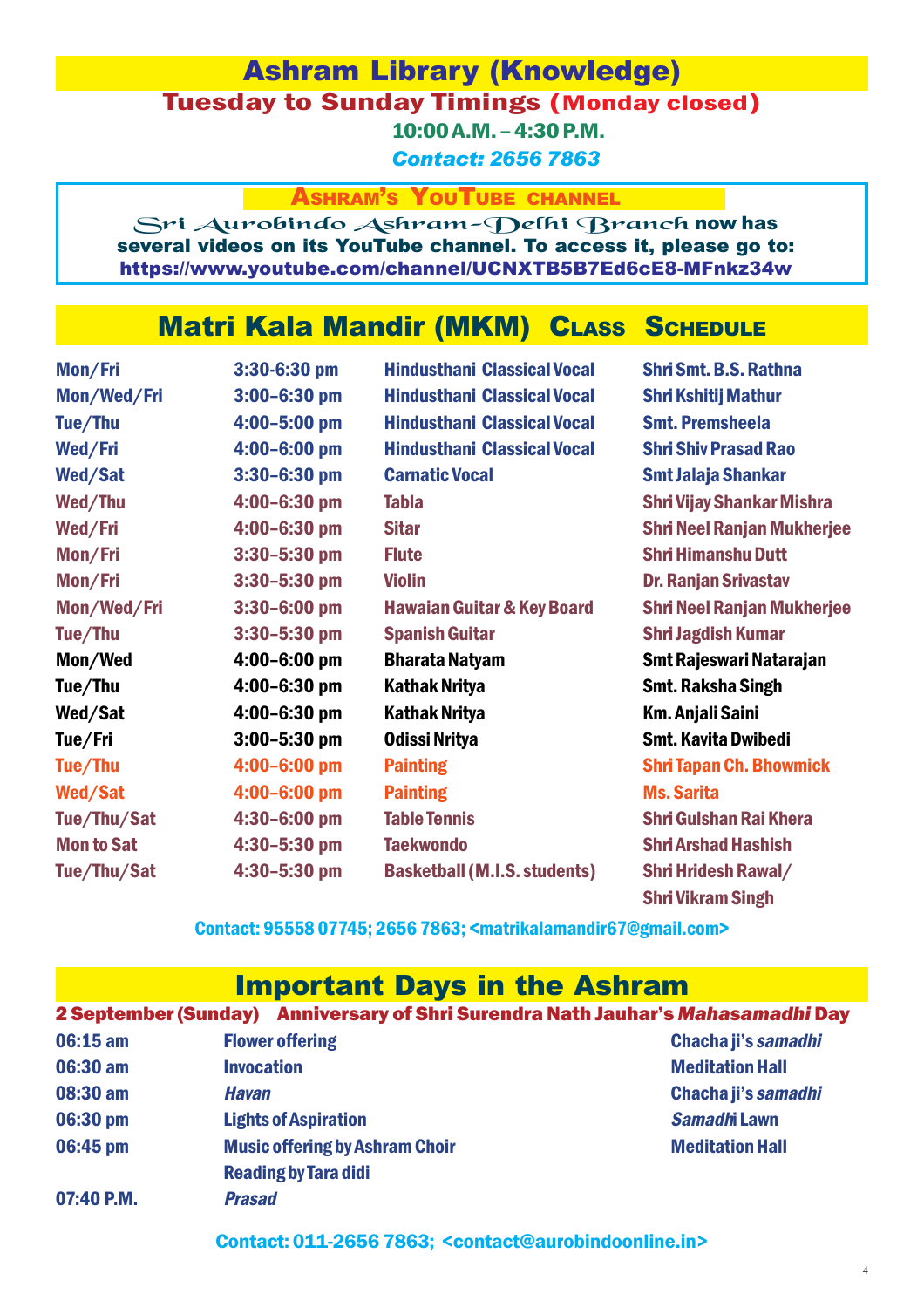### Ashram Library (Knowledge) Tuesday to Sunday Timings (Monday closed) 10:00 A.M. – 4:30 P.M. *Contact: 2656 7863*

ASHRAM'S YOUTUBE CHANNEL

Sri Aurobindo Ashram–Delhi Branch now has several videos on its YouTube channel. To access it, please go to: https://www.youtube.com/channel/UCNXTB5B7Ed6cE8-MFnkz34w

### **Matri Kala Mandir (MKM) CLASS SCHEDULE**

| Mon/Fri           | 3:30-6:30 pm     | <b>Hindusthani Classical Vocal</b>    | <b>Shri Smt. B.S. Rathna</b>      |
|-------------------|------------------|---------------------------------------|-----------------------------------|
| Mon/Wed/Fri       | $3:00 - 6:30$ pm | <b>Hindusthani Classical Vocal</b>    | <b>Shri Kshitij Mathur</b>        |
| Tue/Thu           | $4:00 - 5:00$ pm | <b>Hindusthani Classical Vocal</b>    | <b>Smt. Premsheela</b>            |
| Wed/Fri           | $4:00 - 6:00$ pm | <b>Hindusthani Classical Vocal</b>    | <b>Shri Shiv Prasad Rao</b>       |
| Wed/Sat           | $3:30-6:30$ pm   | <b>Carnatic Vocal</b>                 | <b>Smt Jalaja Shankar</b>         |
| Wed/Thu           | $4:00 - 6:30$ pm | <b>Tabla</b>                          | <b>Shri Vijay Shankar Mishra</b>  |
| Wed/Fri           | $4:00 - 6:30$ pm | <b>Sitar</b>                          | <b>Shri Neel Ranjan Mukherjee</b> |
| Mon/Fri           | $3:30 - 5:30$ pm | <b>Flute</b>                          | <b>Shri Himanshu Dutt</b>         |
| Mon/Fri           | $3:30 - 5:30$ pm | <b>Violin</b>                         | <b>Dr. Ranjan Srivastav</b>       |
| Mon/Wed/Fri       | $3:30 - 6:00$ pm | <b>Hawaian Guitar &amp; Key Board</b> | <b>Shri Neel Ranjan Mukherjee</b> |
| Tue/Thu           | $3:30 - 5:30$ pm | <b>Spanish Guitar</b>                 | <b>Shri Jagdish Kumar</b>         |
| Mon/Wed           | $4:00 - 6:00$ pm | <b>Bharata Natyam</b>                 | Smt Rajeswari Natarajan           |
| Tue/Thu           | $4:00 - 6:30$ pm | <b>Kathak Nritya</b>                  | <b>Smt. Raksha Singh</b>          |
| Wed/Sat           | $4:00 - 6:30$ pm | <b>Kathak Nritya</b>                  | <b>Km. Anjali Saini</b>           |
| Tue/Fri           | $3:00 - 5:30$ pm | Odissi Nritya                         | <b>Smt. Kavita Dwibedi</b>        |
| Tue/Thu           | $4:00 - 6:00$ pm | <b>Painting</b>                       | <b>Shri Tapan Ch. Bhowmick</b>    |
| Wed/Sat           | $4:00 - 6:00$ pm | <b>Painting</b>                       | <b>Ms. Sarita</b>                 |
| Tue/Thu/Sat       | $4:30 - 6:00$ pm | <b>Table Tennis</b>                   | <b>Shri Gulshan Rai Khera</b>     |
| <b>Mon to Sat</b> | $4:30 - 5:30$ pm | <b>Taekwondo</b>                      | <b>Shri Arshad Hashish</b>        |
| Tue/Thu/Sat       | $4:30 - 5:30$ pm | <b>Basketball (M.I.S. students)</b>   | <b>Shri Hridesh Rawal/</b>        |
|                   |                  |                                       | <b>Shri Vikram Singh</b>          |

Contact: 95558 07745; 2656 7863; <matrikalamandir67@gmail.com>

### Important Days in the Ashram

|            | 2 September (Sunday) Anniversary of Shri Surendra Nath Jauhar's Mahasamadhi Day |                        |
|------------|---------------------------------------------------------------------------------|------------------------|
| 06:15 am   | <b>Flower offering</b>                                                          | Chacha ji's samadhi    |
| 06:30 am   | <b>Invocation</b>                                                               | <b>Meditation Hall</b> |
| 08:30 am   | <b>Havan</b>                                                                    | Chacha ji's samadhi    |
| 06:30 pm   | <b>Lights of Aspiration</b>                                                     | Samadhi Lawn           |
| 06:45 pm   | <b>Music offering by Ashram Choir</b>                                           | <b>Meditation Hall</b> |
|            | <b>Reading by Tara didi</b>                                                     |                        |
| 07:40 P.M. | <b>Prasad</b>                                                                   |                        |

Contact: 011-2656 7863; <contact@aurobindoonline.in>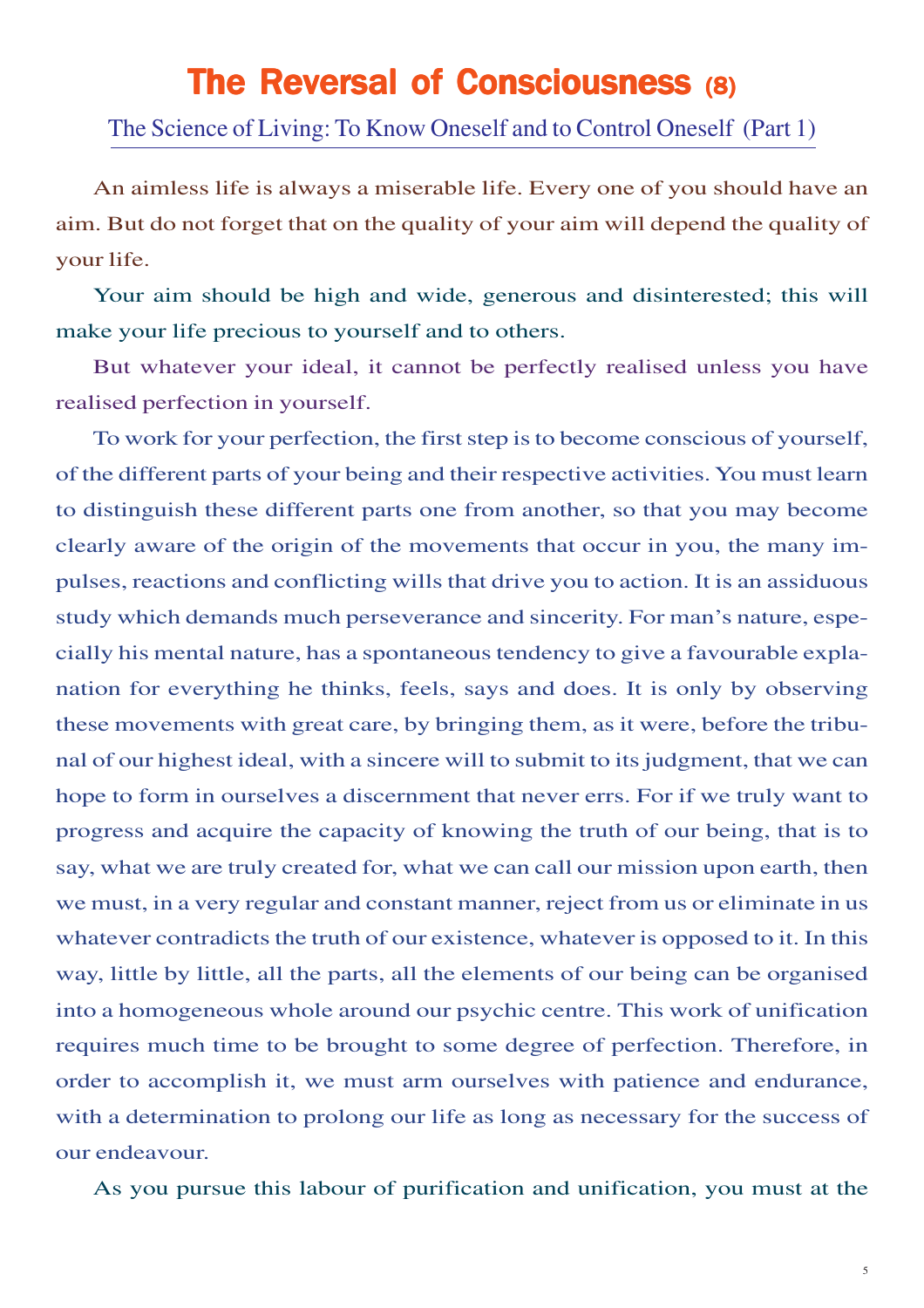## The Reversal of Consciousness (8)

The Science of Living: To Know Oneself and to Control Oneself (Part 1)

An aimless life is always a miserable life. Every one of you should have an aim. But do not forget that on the quality of your aim will depend the quality of your life.

Your aim should be high and wide, generous and disinterested; this will make your life precious to yourself and to others.

But whatever your ideal, it cannot be perfectly realised unless you have realised perfection in yourself.

To work for your perfection, the first step is to become conscious of yourself, of the different parts of your being and their respective activities. You must learn to distinguish these different parts one from another, so that you may become clearly aware of the origin of the movements that occur in you, the many impulses, reactions and conflicting wills that drive you to action. It is an assiduous study which demands much perseverance and sincerity. For man's nature, especially his mental nature, has a spontaneous tendency to give a favourable explanation for everything he thinks, feels, says and does. It is only by observing these movements with great care, by bringing them, as it were, before the tribunal of our highest ideal, with a sincere will to submit to its judgment, that we can hope to form in ourselves a discernment that never errs. For if we truly want to progress and acquire the capacity of knowing the truth of our being, that is to say, what we are truly created for, what we can call our mission upon earth, then we must, in a very regular and constant manner, reject from us or eliminate in us whatever contradicts the truth of our existence, whatever is opposed to it. In this way, little by little, all the parts, all the elements of our being can be organised into a homogeneous whole around our psychic centre. This work of unification requires much time to be brought to some degree of perfection. Therefore, in order to accomplish it, we must arm ourselves with patience and endurance, with a determination to prolong our life as long as necessary for the success of our endeavour.

As you pursue this labour of purification and unification, you must at the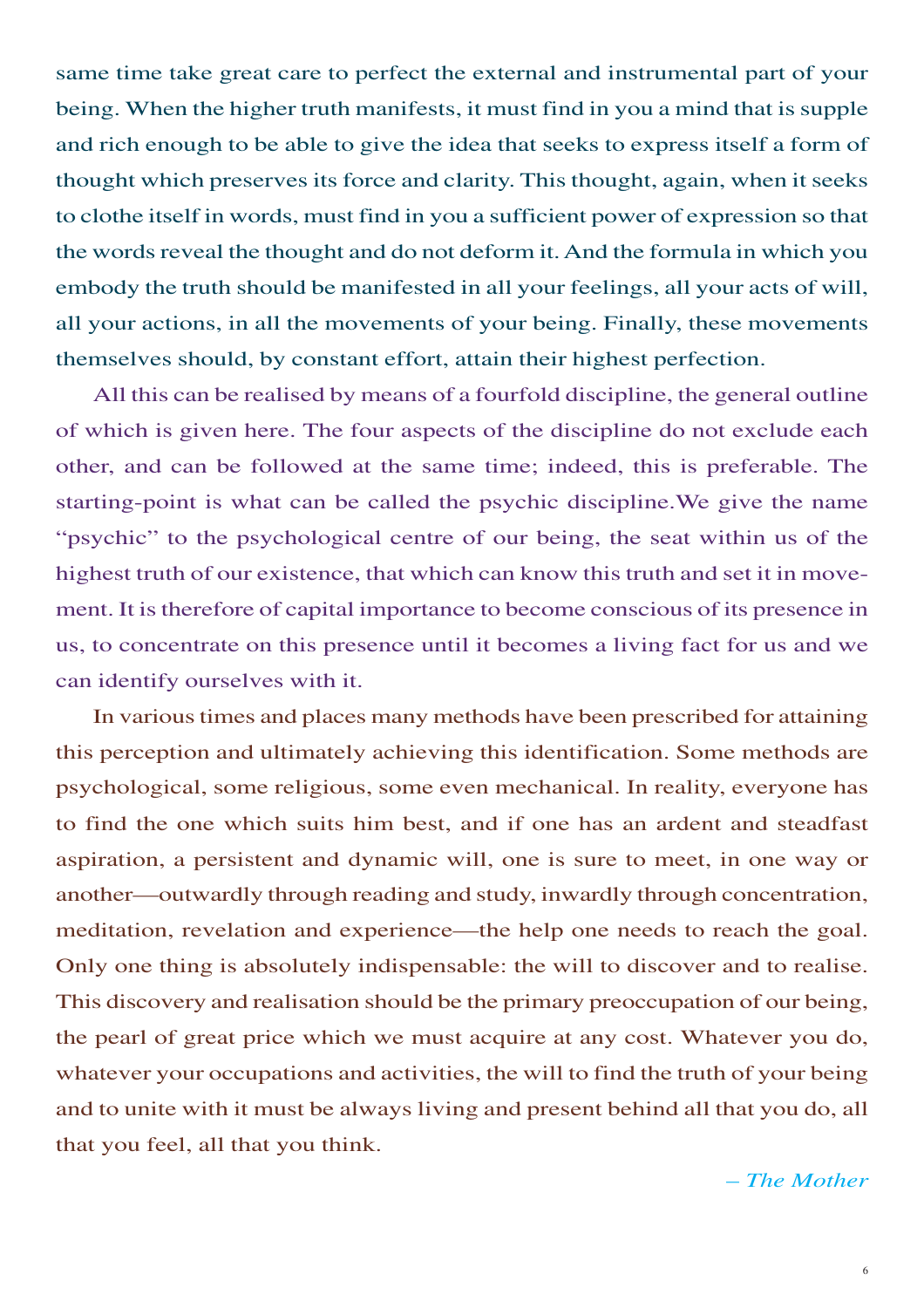same time take great care to perfect the external and instrumental part of your being. When the higher truth manifests, it must find in you a mind that is supple and rich enough to be able to give the idea that seeks to express itself a form of thought which preserves its force and clarity. This thought, again, when it seeks to clothe itself in words, must find in you a sufficient power of expression so that the words reveal the thought and do not deform it. And the formula in which you embody the truth should be manifested in all your feelings, all your acts of will, all your actions, in all the movements of your being. Finally, these movements themselves should, by constant effort, attain their highest perfection.

All this can be realised by means of a fourfold discipline, the general outline of which is given here. The four aspects of the discipline do not exclude each other, and can be followed at the same time; indeed, this is preferable. The starting-point is what can be called the psychic discipline.We give the name "psychic" to the psychological centre of our being, the seat within us of the highest truth of our existence, that which can know this truth and set it in movement. It is therefore of capital importance to become conscious of its presence in us, to concentrate on this presence until it becomes a living fact for us and we can identify ourselves with it.

In various times and places many methods have been prescribed for attaining this perception and ultimately achieving this identification. Some methods are psychological, some religious, some even mechanical. In reality, everyone has to find the one which suits him best, and if one has an ardent and steadfast aspiration, a persistent and dynamic will, one is sure to meet, in one way or another—outwardly through reading and study, inwardly through concentration, meditation, revelation and experience—the help one needs to reach the goal. Only one thing is absolutely indispensable: the will to discover and to realise. This discovery and realisation should be the primary preoccupation of our being, the pearl of great price which we must acquire at any cost. Whatever you do, whatever your occupations and activities, the will to find the truth of your being and to unite with it must be always living and present behind all that you do, all that you feel, all that you think.

– *The Mother*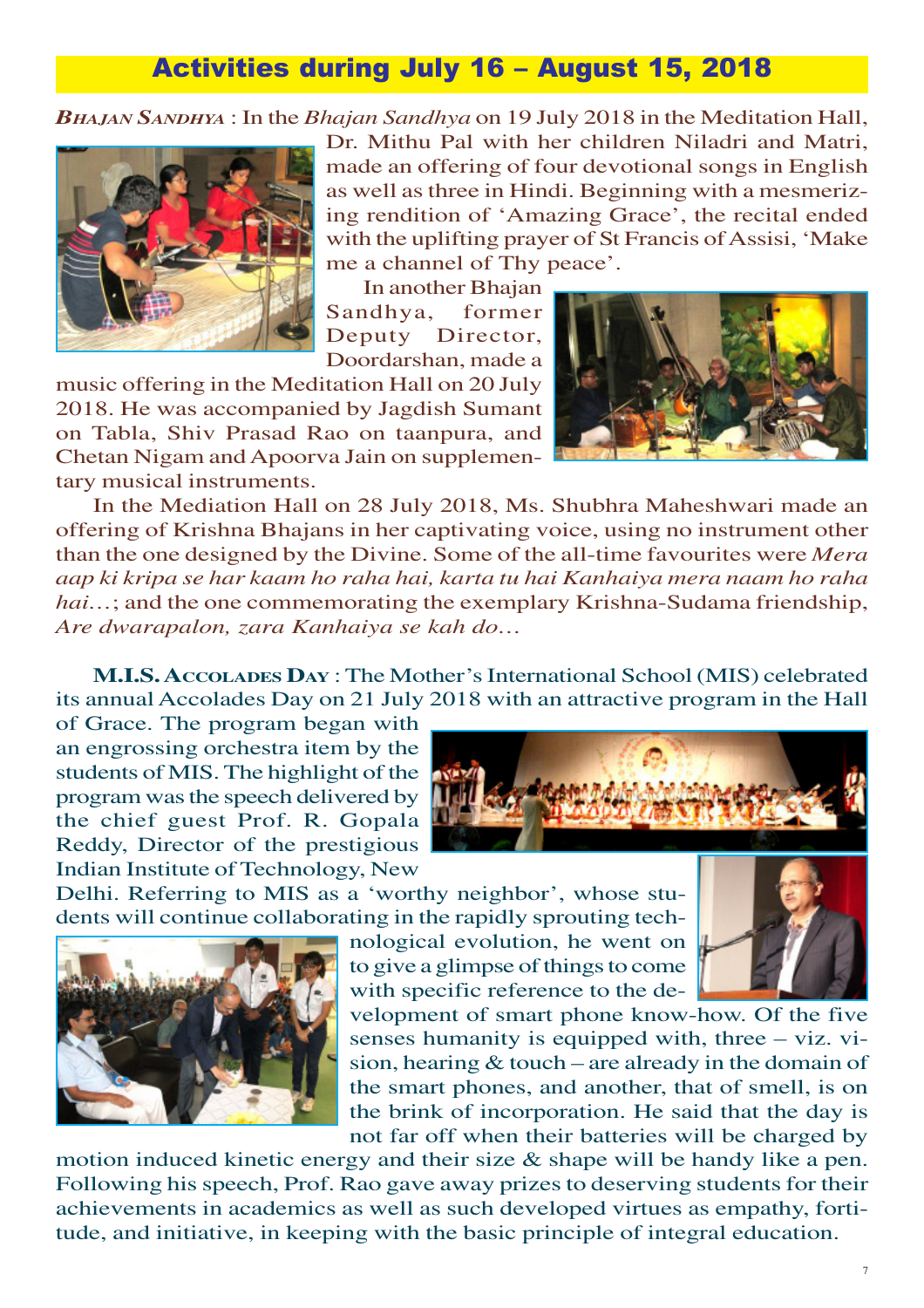### Activities during July 16 – August 15, 2018

*BHAJAN SANDHYA* : In the *Bhajan Sandhya* on 19 July 2018 in the Meditation Hall,



Dr. Mithu Pal with her children Niladri and Matri, made an offering of four devotional songs in English as well as three in Hindi. Beginning with a mesmerizing rendition of 'Amazing Grace', the recital ended with the uplifting prayer of St Francis of Assisi, 'Make me a channel of Thy peace'.

In another Bhajan Sandhya, former Deputy Director, Doordarshan, made a

music offering in the Meditation Hall on 20 July 2018. He was accompanied by Jagdish Sumant on Tabla, Shiv Prasad Rao on taanpura, and Chetan Nigam and Apoorva Jain on supplementary musical instruments.



In the Mediation Hall on 28 July 2018, Ms. Shubhra Maheshwari made an offering of Krishna Bhajans in her captivating voice, using no instrument other than the one designed by the Divine. Some of the all-time favourites were *Mera aap ki kripa se har kaam ho raha hai, karta tu hai Kanhaiya mera naam ho raha hai...*; and the one commemorating the exemplary Krishna-Sudama friendship, *Are dwarapalon, zara Kanhaiya se kah do…*

**M.I.S. ACCOLADES DAY** : The Mother's International School (MIS) celebrated its annual Accolades Day on 21 July 2018 with an attractive program in the Hall

of Grace. The program began with an engrossing orchestra item by the students of MIS. The highlight of the program was the speech delivered by the chief guest Prof. R. Gopala Reddy, Director of the prestigious Indian Institute of Technology, New



Delhi. Referring to MIS as a 'worthy neighbor', whose students will continue collaborating in the rapidly sprouting tech-



nological evolution, he went on to give a glimpse of things to come with specific reference to the de-



velopment of smart phone know-how. Of the five senses humanity is equipped with, three – viz. vision, hearing & touch – are already in the domain of the smart phones, and another, that of smell, is on the brink of incorporation. He said that the day is not far off when their batteries will be charged by

motion induced kinetic energy and their size & shape will be handy like a pen. Following his speech, Prof. Rao gave away prizes to deserving students for their achievements in academics as well as such developed virtues as empathy, fortitude, and initiative, in keeping with the basic principle of integral education.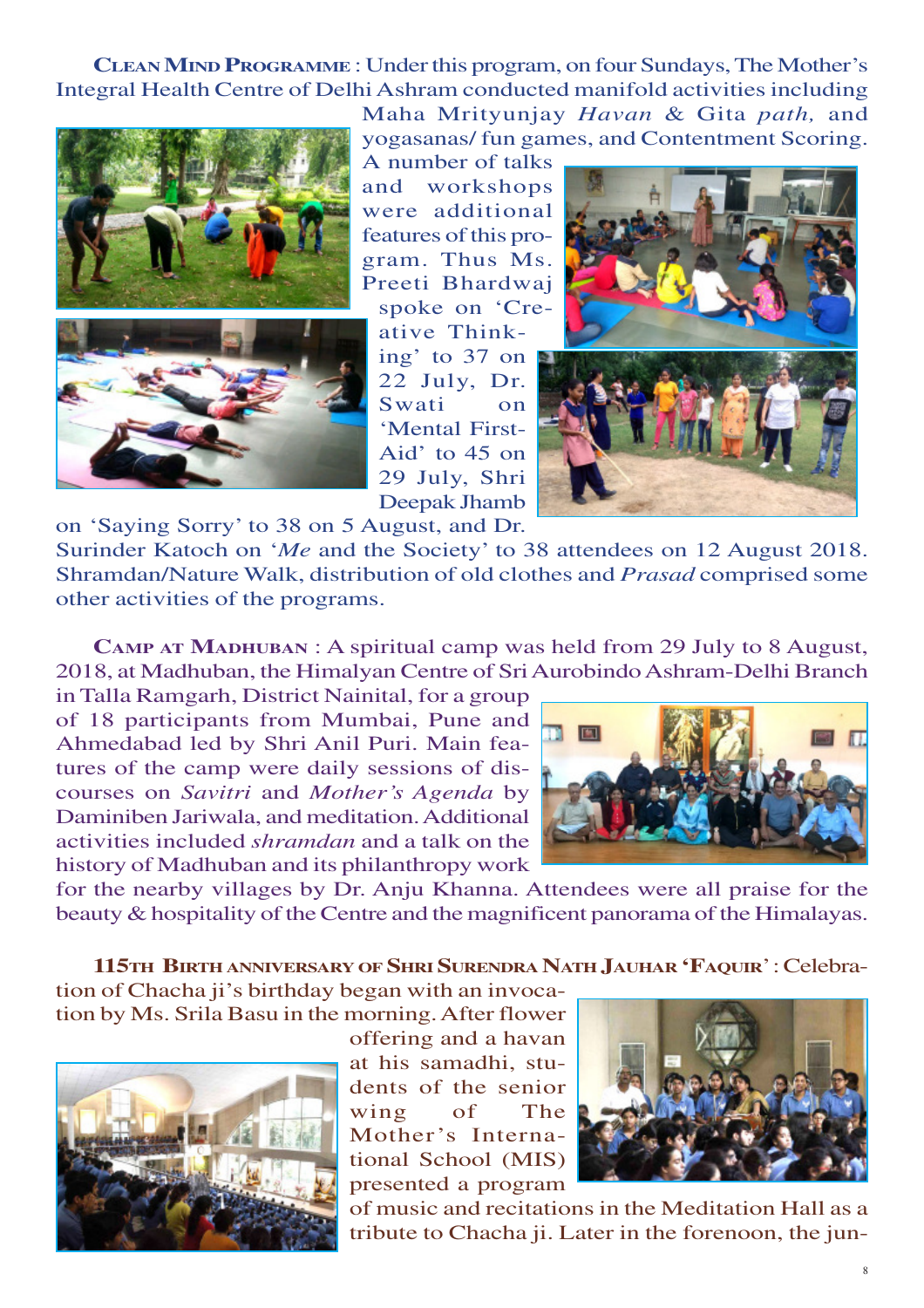**CLEAN MIND PROGRAMME** : Under this program, on four Sundays, The Mother's Integral Health Centre of Delhi Ashram conducted manifold activities including



yogasanas/ fun games, and Contentment Scoring. A number of talks and workshops were additional features of this program. Thus Ms. Preeti Bhardwaj spoke on 'Creative Thinking' to 37 on 22 July, Dr. Swati on 'Mental First-Aid' to 45 on 29 July, Shri Deepak Jhamb



on 'Saying Sorry' to 38 on 5 August, and Dr.

Surinder Katoch on '*Me* and the Society' to 38 attendees on 12 August 2018. Shramdan/Nature Walk, distribution of old clothes and *Prasad* comprised some other activities of the programs.

**CAMP AT MADHUBAN** : A spiritual camp was held from 29 July to 8 August, 2018, at Madhuban, the Himalyan Centre of Sri Aurobindo Ashram-Delhi Branch

in Talla Ramgarh, District Nainital, for a group of 18 participants from Mumbai, Pune and Ahmedabad led by Shri Anil Puri. Main features of the camp were daily sessions of discourses on *Savitri* and *Mother's Agenda* by Daminiben Jariwala, and meditation. Additional activities included *shramdan* and a talk on the history of Madhuban and its philanthropy work



for the nearby villages by Dr. Anju Khanna. Attendees were all praise for the beauty & hospitality of the Centre and the magnificent panorama of the Himalayas.

**115TH BIRTH ANNIVERSARY OF SHRI SURENDRA NATH JAUHAR 'FAQUIR**' : Celebra-

tion of Chacha ji's birthday began with an invocation by Ms. Srila Basu in the morning. After flower



offering and a havan at his samadhi, students of the senior wing of The Mother's International School (MIS) presented a program



of music and recitations in the Meditation Hall as a tribute to Chacha ji. Later in the forenoon, the jun-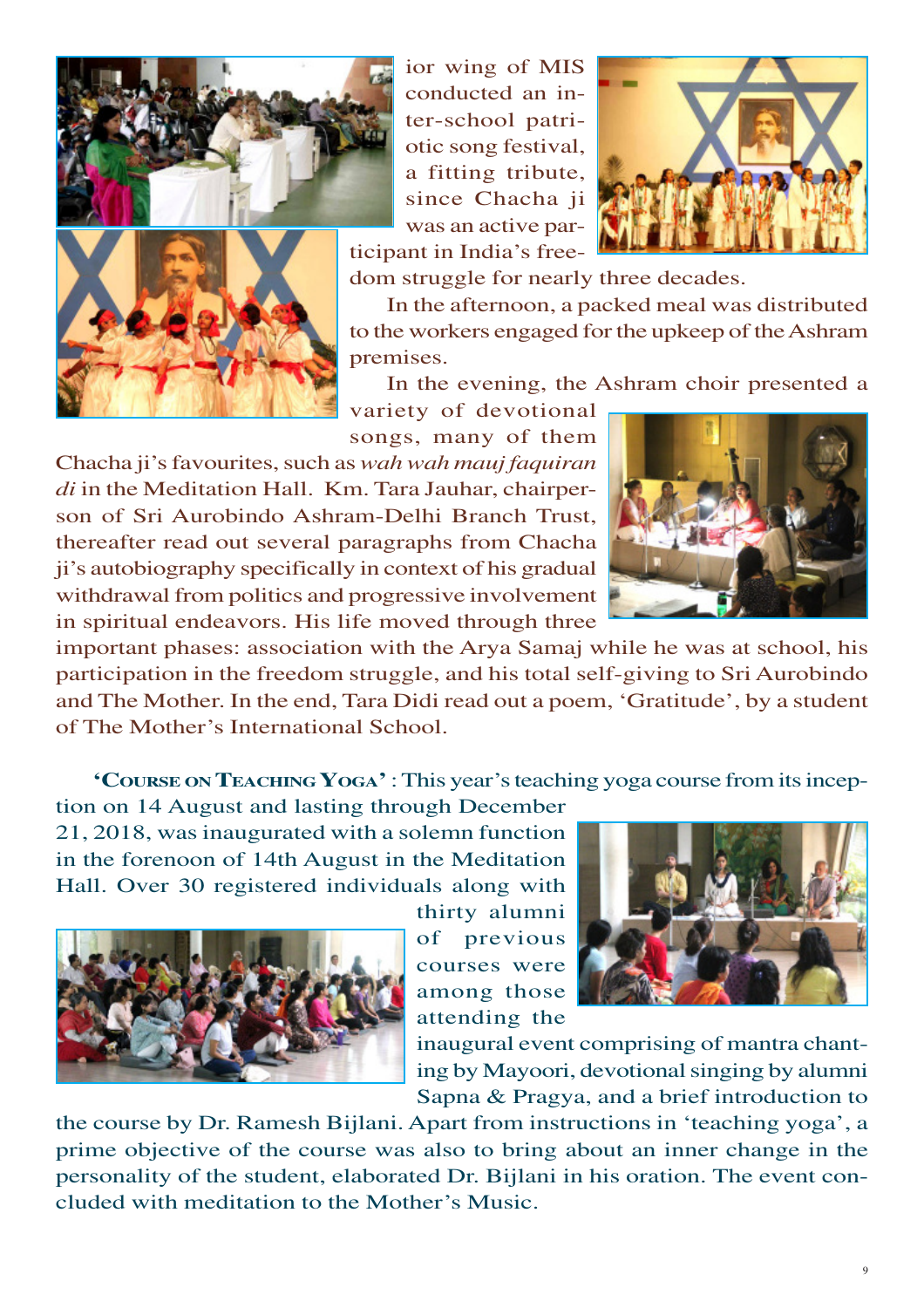

ior wing of MIS conducted an inter-school patriotic song festival, a fitting tribute, since Chacha ji was an active participant in India's free-



dom struggle for nearly three decades.

In the afternoon, a packed meal was distributed to the workers engaged for the upkeep of the Ashram premises.

In the evening, the Ashram choir presented a

variety of devotional songs, many of them

Chacha ji's favourites, such as *wah wah mauj faquiran di* in the Meditation Hall. Km. Tara Jauhar, chairperson of Sri Aurobindo Ashram-Delhi Branch Trust, thereafter read out several paragraphs from Chacha ji's autobiography specifically in context of his gradual withdrawal from politics and progressive involvement in spiritual endeavors. His life moved through three

important phases: association with the Arya Samaj while he was at school, his participation in the freedom struggle, and his total self-giving to Sri Aurobindo and The Mother. In the end, Tara Didi read out a poem, 'Gratitude', by a student of The Mother's International School.

#### **'COURSE ON TEACHING YOGA'** : This year's teaching yoga course from its incep-

tion on 14 August and lasting through December 21, 2018, was inaugurated with a solemn function in the forenoon of 14th August in the Meditation Hall. Over 30 registered individuals along with



thirty alumni of previous courses were among those attending the



inaugural event comprising of mantra chanting by Mayoori, devotional singing by alumni Sapna & Pragya, and a brief introduction to

the course by Dr. Ramesh Bijlani. Apart from instructions in 'teaching yoga', a prime objective of the course was also to bring about an inner change in the personality of the student, elaborated Dr. Bijlani in his oration. The event concluded with meditation to the Mother's Music.

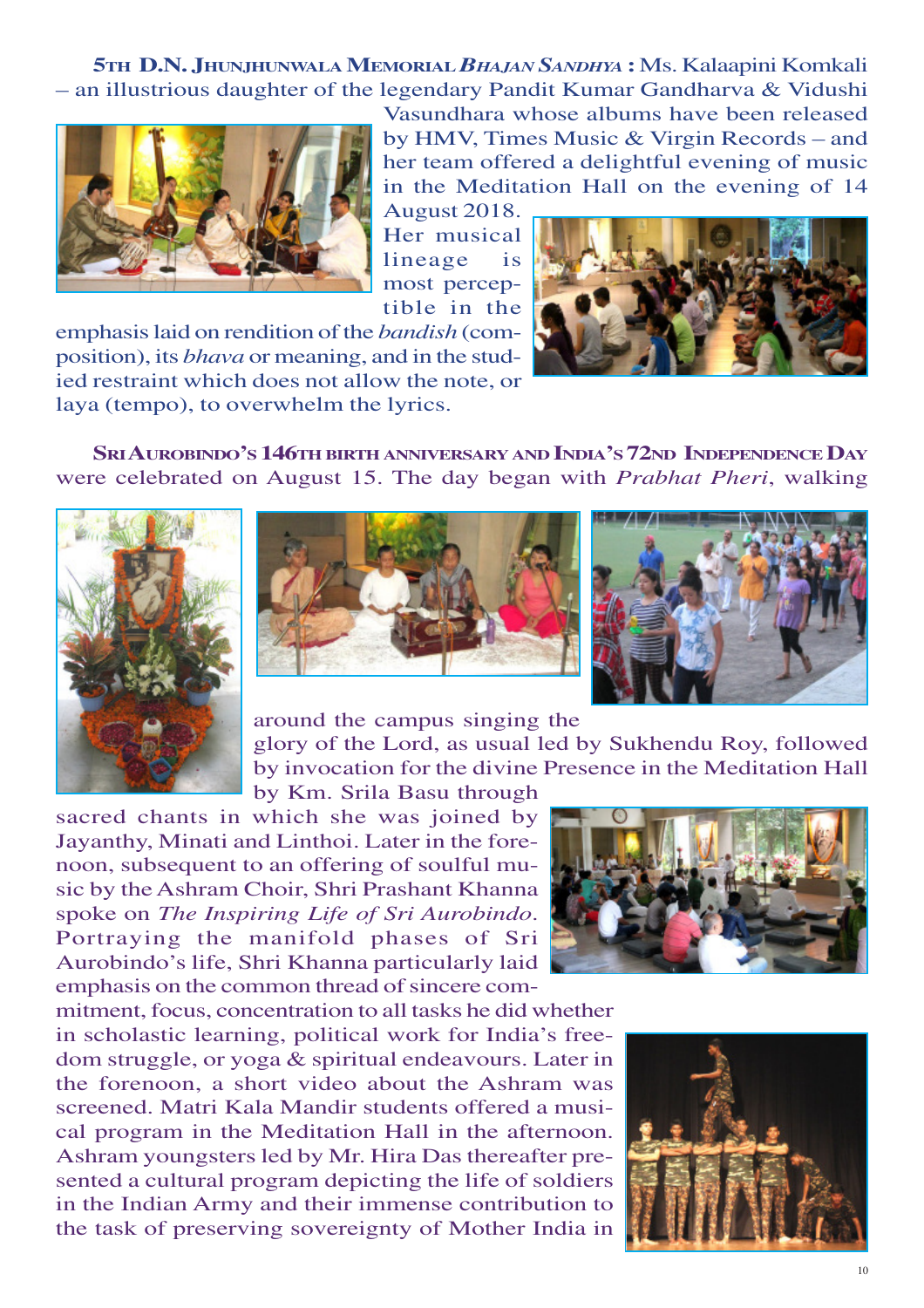**5TH D.N. JHUNJHUNWALA MEMORIAL** *BHAJAN SANDHYA* **:** Ms. Kalaapini Komkali – an illustrious daughter of the legendary Pandit Kumar Gandharva & Vidushi



Vasundhara whose albums have been released by HMV, Times Music & Virgin Records – and her team offered a delightful evening of music in the Meditation Hall on the evening of 14

August 2018. Her musical lineage is most perceptible in the

emphasis laid on rendition of the *bandish* (composition), its *bhava* or meaning, and in the studied restraint which does not allow the note, or laya (tempo), to overwhelm the lyrics.



**SRI AUROBINDO'S 146TH BIRTH ANNIVERSARY AND INDIA'S 72ND INDEPENDENCE DAY** were celebrated on August 15. The day began with *Prabhat Pheri*, walking







around the campus singing the glory of the Lord, as usual led by Sukhendu Roy, followed by invocation for the divine Presence in the Meditation Hall by Km. Srila Basu through

sacred chants in which she was joined by Jayanthy, Minati and Linthoi. Later in the forenoon, subsequent to an offering of soulful music by the Ashram Choir, Shri Prashant Khanna spoke on *The Inspiring Life of Sri Aurobindo*. Portraying the manifold phases of Sri Aurobindo's life, Shri Khanna particularly laid emphasis on the common thread of sincere com-

mitment, focus, concentration to all tasks he did whether in scholastic learning, political work for India's freedom struggle, or yoga & spiritual endeavours. Later in the forenoon, a short video about the Ashram was screened. Matri Kala Mandir students offered a musical program in the Meditation Hall in the afternoon. Ashram youngsters led by Mr. Hira Das thereafter presented a cultural program depicting the life of soldiers in the Indian Army and their immense contribution to the task of preserving sovereignty of Mother India in



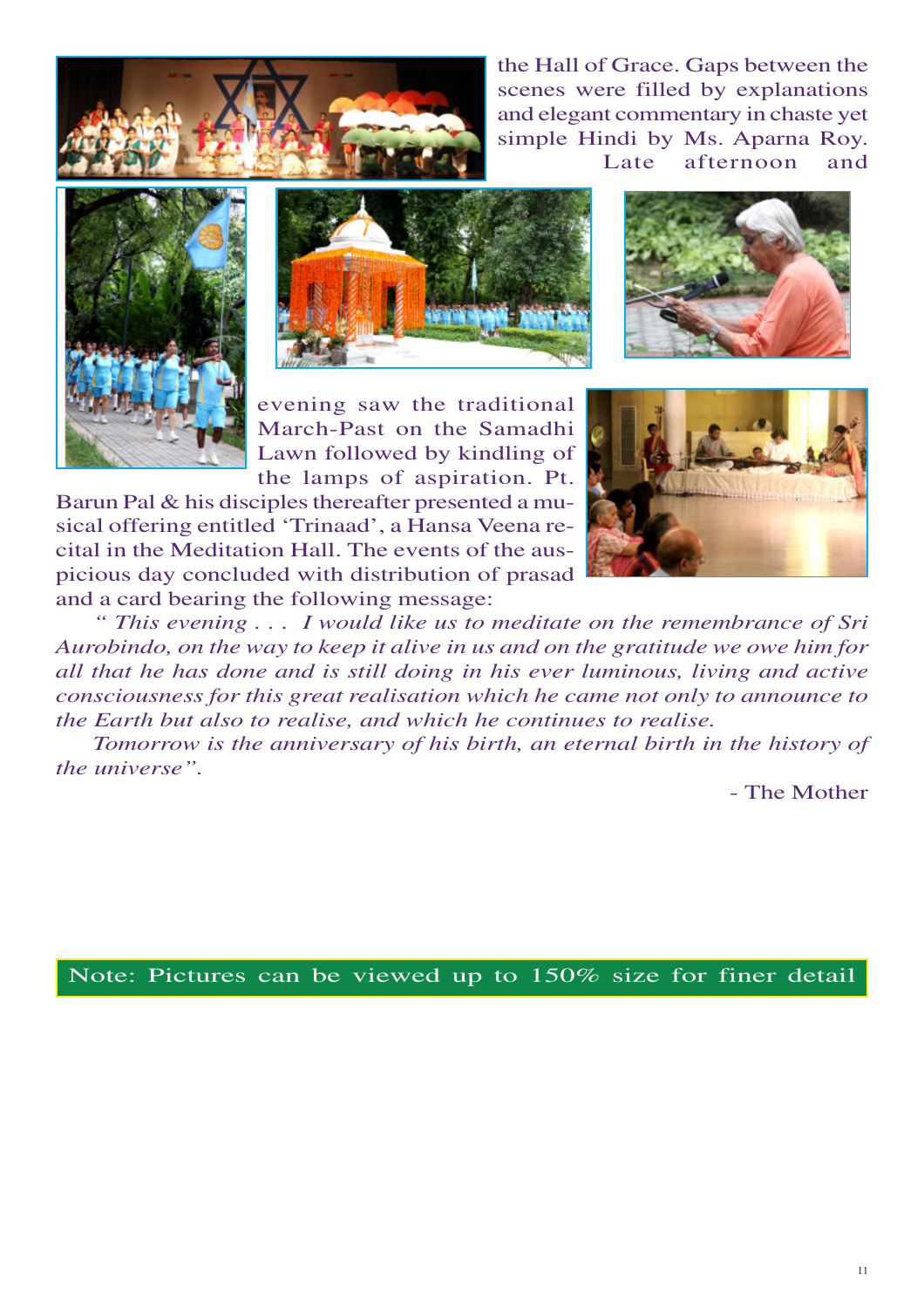

the Hall of Grace. Gaps between the scenes were filled by explanations and elegant commentary in chaste yet simple Hindi by Ms. Aparna Roy. Late afternoon and





evening saw the traditional March-Past on the Samadhi Lawn followed by kindling of the lamps of aspiration. Pt.

Barun Pal & his disciples thereafter presented a musical offering entitled 'Trinaad', a Hansa Veena recital in the Meditation Hall. The events of the auspicious day concluded with distribution of prasad and a card bearing the following message:



*" This evening . . . I would like us to meditate on the remembrance of Sri Aurobindo, on the way to keep it alive in us and on the gratitude we owe him for all that he has done and is still doing in his ever luminous, living and active consciousness for this great realisation which he came not only to announce to the Earth but also to realise, and which he continues to realise.*

*Tomorrow is the anniversary of his birth, an eternal birth in the history of the universe".*

- The Mother

Note: Pictures can be viewed up to 150% size for finer detail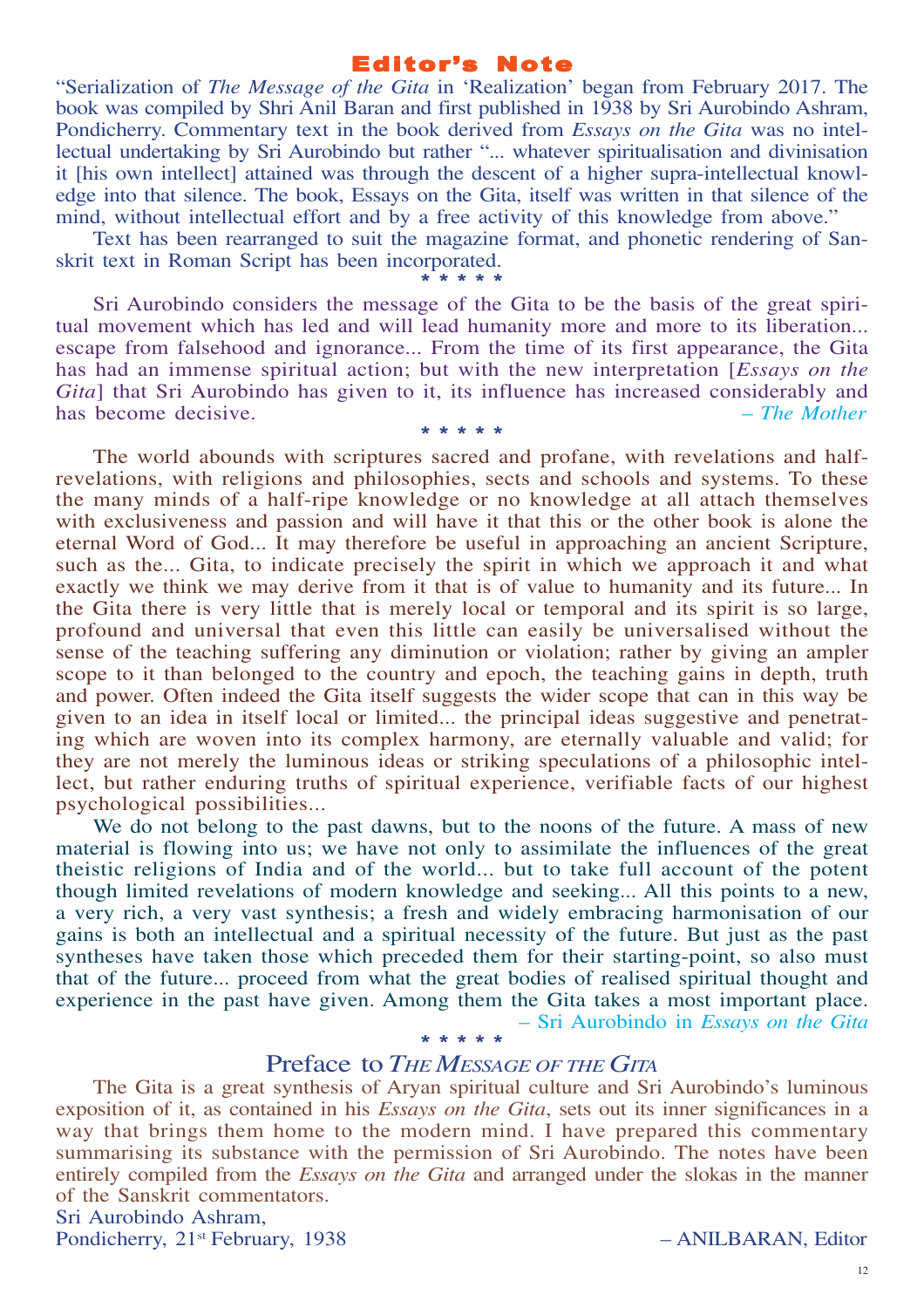#### Editor's Note

"Serialization of *The Message of the Gita* in 'Realization' began from February 2017. The book was compiled by Shri Anil Baran and first published in 1938 by Sri Aurobindo Ashram, Pondicherry. Commentary text in the book derived from *Essays on the Gita* was no intellectual undertaking by Sri Aurobindo but rather "... whatever spiritualisation and divinisation it [his own intellect] attained was through the descent of a higher supra-intellectual knowledge into that silence. The book, Essays on the Gita, itself was written in that silence of the mind, without intellectual effort and by a free activity of this knowledge from above."

Text has been rearranged to suit the magazine format, and phonetic rendering of Sanskrit text in Roman Script has been incorporated. \* \* \* \* \*

Sri Aurobindo considers the message of the Gita to be the basis of the great spiritual movement which has led and will lead humanity more and more to its liberation... escape from falsehood and ignorance... From the time of its first appearance, the Gita has had an immense spiritual action; but with the new interpretation [*Essays on the Gita*] that Sri Aurobindo has given to it, its influence has increased considerably and has become decisive. – *The Mother* \* \* \* \* \*

The world abounds with scriptures sacred and profane, with revelations and halfrevelations, with religions and philosophies, sects and schools and systems. To these the many minds of a half-ripe knowledge or no knowledge at all attach themselves with exclusiveness and passion and will have it that this or the other book is alone the eternal Word of God... It may therefore be useful in approaching an ancient Scripture, such as the... Gita, to indicate precisely the spirit in which we approach it and what exactly we think we may derive from it that is of value to humanity and its future... In the Gita there is very little that is merely local or temporal and its spirit is so large, profound and universal that even this little can easily be universalised without the sense of the teaching suffering any diminution or violation; rather by giving an ampler scope to it than belonged to the country and epoch, the teaching gains in depth, truth and power. Often indeed the Gita itself suggests the wider scope that can in this way be given to an idea in itself local or limited... the principal ideas suggestive and penetrating which are woven into its complex harmony, are eternally valuable and valid; for they are not merely the luminous ideas or striking speculations of a philosophic intellect, but rather enduring truths of spiritual experience, verifiable facts of our highest psychological possibilities...

We do not belong to the past dawns, but to the noons of the future. A mass of new material is flowing into us; we have not only to assimilate the influences of the great theistic religions of India and of the world... but to take full account of the potent though limited revelations of modern knowledge and seeking... All this points to a new, a very rich, a very vast synthesis; a fresh and widely embracing harmonisation of our gains is both an intellectual and a spiritual necessity of the future. But just as the past syntheses have taken those which preceded them for their starting-point, so also must that of the future... proceed from what the great bodies of realised spiritual thought and experience in the past have given. Among them the Gita takes a most important place. – Sri Aurobindo in *Essays on the Gita* \* \* \* \* \*

#### Preface to *THE MESSAGE OF THE GITA*

The Gita is a great synthesis of Aryan spiritual culture and Sri Aurobindo's luminous exposition of it, as contained in his *Essays on the Gita*, sets out its inner significances in a way that brings them home to the modern mind. I have prepared this commentary summarising its substance with the permission of Sri Aurobindo. The notes have been entirely compiled from the *Essays on the Gita* and arranged under the slokas in the manner of the Sanskrit commentators.

Sri Aurobindo Ashram,

Pondicherry,  $21^{st}$  February, 1938 – ANILBARAN, Editor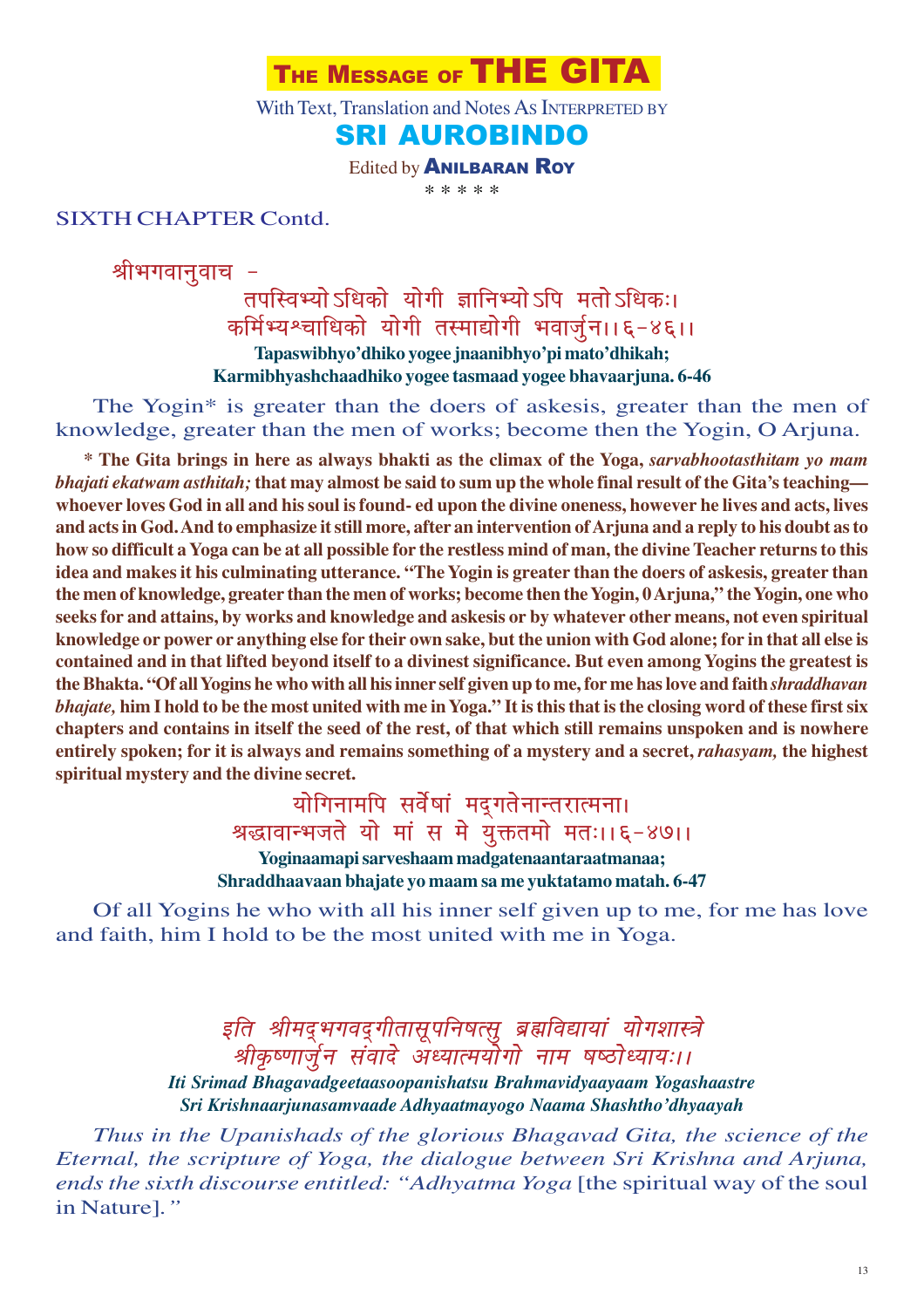

With Text, Translation and Notes As INTERPRETED BY

### SRI AUROBINDO

Edited by ANILBARAN ROY

\* \* \* \* \*

#### SIXTH CHAPTER Contd.

श्रीभगवानुवाच -

#### तपस्विभ्यो ऽधिको योगी ज्ञानिभ्यो ऽपि मतो ऽधिकः। कर्मिभ्यश्चाधिको योगी तस्माद्योगी भवार्जुना।६-४६।। **Tapaswibhyo'dhiko yogee jnaanibhyo'pi mato'dhikah; Karmibhyashchaadhiko yogee tasmaad yogee bhavaarjuna. 6-46**

The Yogin<sup>\*</sup> is greater than the doers of askesis, greater than the men of knowledge, greater than the men of works; become then the Yogin, O Arjuna.

**\* The Gita brings in here as always bhakti as the climax of the Yoga,** *sarvabhootasthitam yo mam bhajati ekatwam asthitah;* **that may almost be said to sum up the whole final result of the Gita's teaching whoever loves God in all and his soul is found- ed upon the divine oneness, however he lives and acts, lives and acts in God. And to emphasize it still more, after an intervention of Arjuna and a reply to his doubt as to how so difficult a Yoga can be at all possible for the restless mind of man, the divine Teacher returns to this idea and makes it his culminating utterance. "The Yogin is greater than the doers of askesis, greater than the men of knowledge, greater than the men of works; become then the Yogin, 0 Arjuna," the Yogin, one who seeks for and attains, by works and knowledge and askesis or by whatever other means, not even spiritual knowledge or power or anything else for their own sake, but the union with God alone; for in that all else is contained and in that lifted beyond itself to a divinest significance. But even among Yogins the greatest is the Bhakta. "Of all Yogins he who with all his inner self given up to me, for me has love and faith** *shraddhavan bhajate,* **him I hold to be the most united with me in Yoga." It is this that is the closing word of these first six chapters and contains in itself the seed of the rest, of that which still remains unspoken and is nowhere entirely spoken; for it is always and remains something of a mystery and a secret,** *rahasyam,* **the highest spiritual mystery and the divine secret.**

#### योगिनामपि सर्वेषां मद्गतेनान्तरात्मना श्रद्धावान्भजते यो मां स मे युक्ततमो मतः।। ६-४७।। **Yoginaamapi sarveshaam madgatenaantaraatmanaa; Shraddhaavaan bhajate yo maam sa me yuktatamo matah. 6-47**

Of all Yogins he who with all his inner self given up to me, for me has love and faith, him I hold to be the most united with me in Yoga.

> इति श्रीमद्भगवद्गीतासूपनिषत्सु ब्रह्मविद्यायां योगशास्त्रे श्रीकृष्णार्जुन संवादे अध्यात्मयोगो नाम षष्ठोध्यायः।। *Iti Srimad Bhagavadgeetaasoopanishatsu Brahmavidyaayaam Yogashaastre Sri Krishnaarjunasamvaade Adhyaatmayogo Naama Shashtho'dhyaayah*

*Thus in the Upanishads of the glorious Bhagavad Gita, the science of the Eternal, the scripture of Yoga, the dialogue between Sri Krishna and Arjuna, ends the sixth discourse entitled: "Adhyatma Yoga* [the spiritual way of the soul in Nature]*."*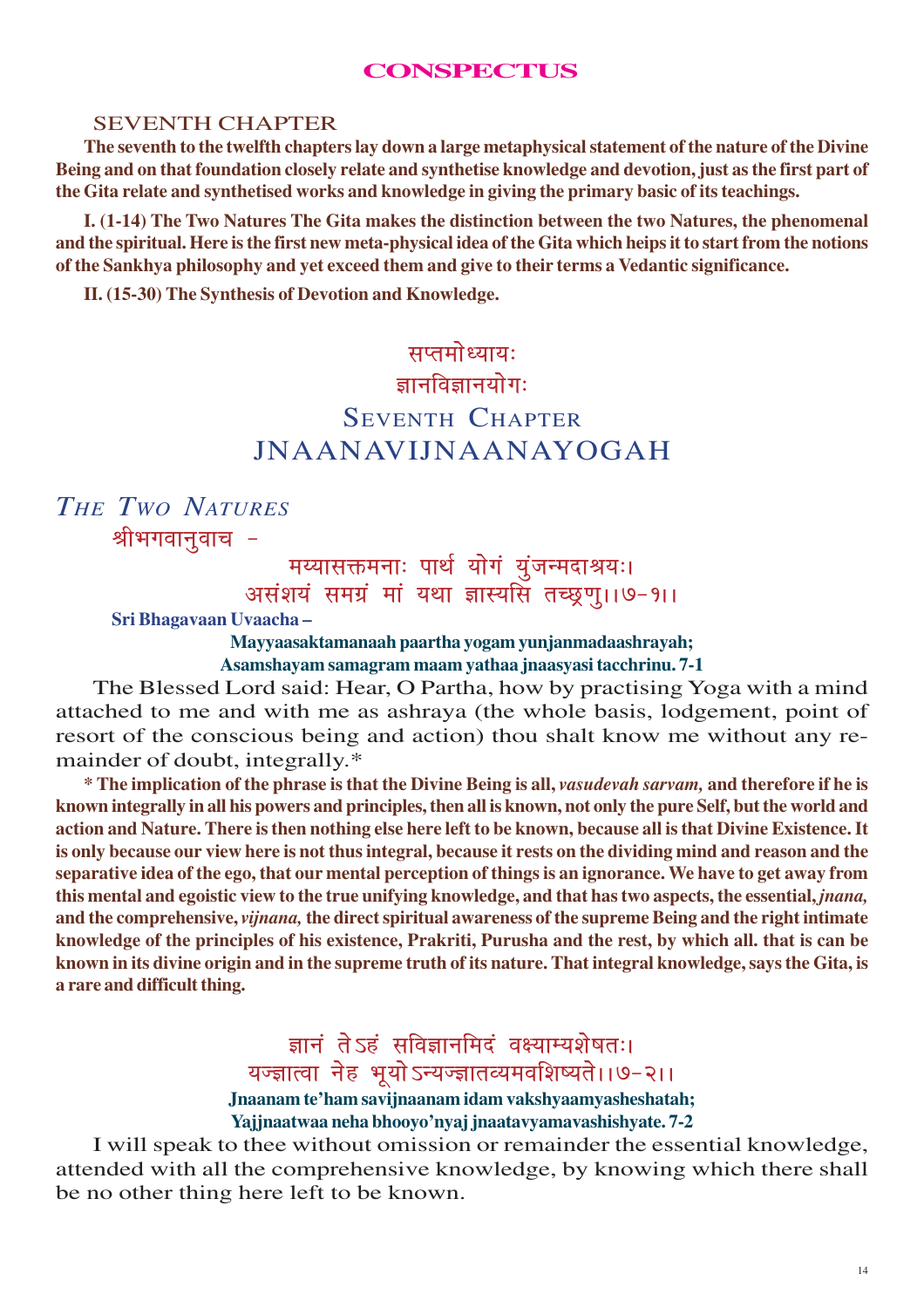#### **CONSPECTUS**

#### SEVENTH CHAPTER

**The seventh to the twelfth chapters lay down a large metaphysical statement of the nature of the Divine Being and on that foundation closely relate and synthetise knowledge and devotion, just as the first part of the Gita relate and synthetised works and knowledge in giving the primary basic of its teachings.**

**I. (1-14) The Two Natures The Gita makes the distinction between the two Natures, the phenomenal and the spiritual. Here is the first new meta-physical idea of the Gita which heips it to start from the notions of the Sankhya philosophy and yet exceed them and give to their terms a Vedantic significance.**

**II. (15-30) The Synthesis of Devotion and Knowledge.**

## सप्तमोध्यायः

### $\overline{\mathbf{S}}$ ानविज्ञानयोगः

## SEVENTH CHAPTER JNAANAVIJNAANAYOGAH

### *THE TWO NATURES* श्रीभगवानुवाच -

मय्यासक्तमनाः पार्थ योगं युंजन्मदाश्रय<mark>ः</mark>। असंशयं समग्रं मां यथा ज्ञास्यसिँ तच्छ्रणु।।७-१।।

**Sri Bhagavaan Uvaacha –**

**Mayyaasaktamanaah paartha yogam yunjanmadaashrayah;**

**Asamshayam samagram maam yathaa jnaasyasi tacchrinu. 7-1**

The Blessed Lord said: Hear, O Partha, how by practising Yoga with a mind attached to me and with me as ashraya (the whole basis, lodgement, point of resort of the conscious being and action) thou shalt know me without any remainder of doubt, integrally.\*

**\* The implication of the phrase is that the Divine Being is all,** *vasudevah sarvam,* **and therefore if he is known integrally in all his powers and principles, then all is known, not only the pure Self, but the world and action and Nature. There is then nothing else here left to be known, because all is that Divine Existence. It is only because our view here is not thus integral, because it rests on the dividing mind and reason and the separative idea of the ego, that our mental perception of things is an ignorance. We have to get away from this mental and egoistic view to the true unifying knowledge, and that has two aspects, the essential,** *jnana,* **and the comprehensive,** *vijnana,* **the direct spiritual awareness of the supreme Being and the right intimate knowledge of the principles of his existence, Prakriti, Purusha and the rest, by which all. that is can be known in its divine origin and in the supreme truth of its nature. That integral knowledge, says the Gita, is a rare and difficult thing.**

> ज्ञानं तेऽहं सविज्ञानमिदं वक्ष्याम्यशेषतः। यज्ज्ञात्वा नेह भूयोऽन्यज्ज्ञातव्यमवशिष्यते।।७-२।। **Jnaanam te'ham savijnaanam idam vakshyaamyasheshatah; Yajjnaatwaa neha bhooyo'nyaj jnaatavyamavashishyate. 7-2**

I will speak to thee without omission or remainder the essential knowledge, attended with all the comprehensive knowledge, by knowing which there shall be no other thing here left to be known.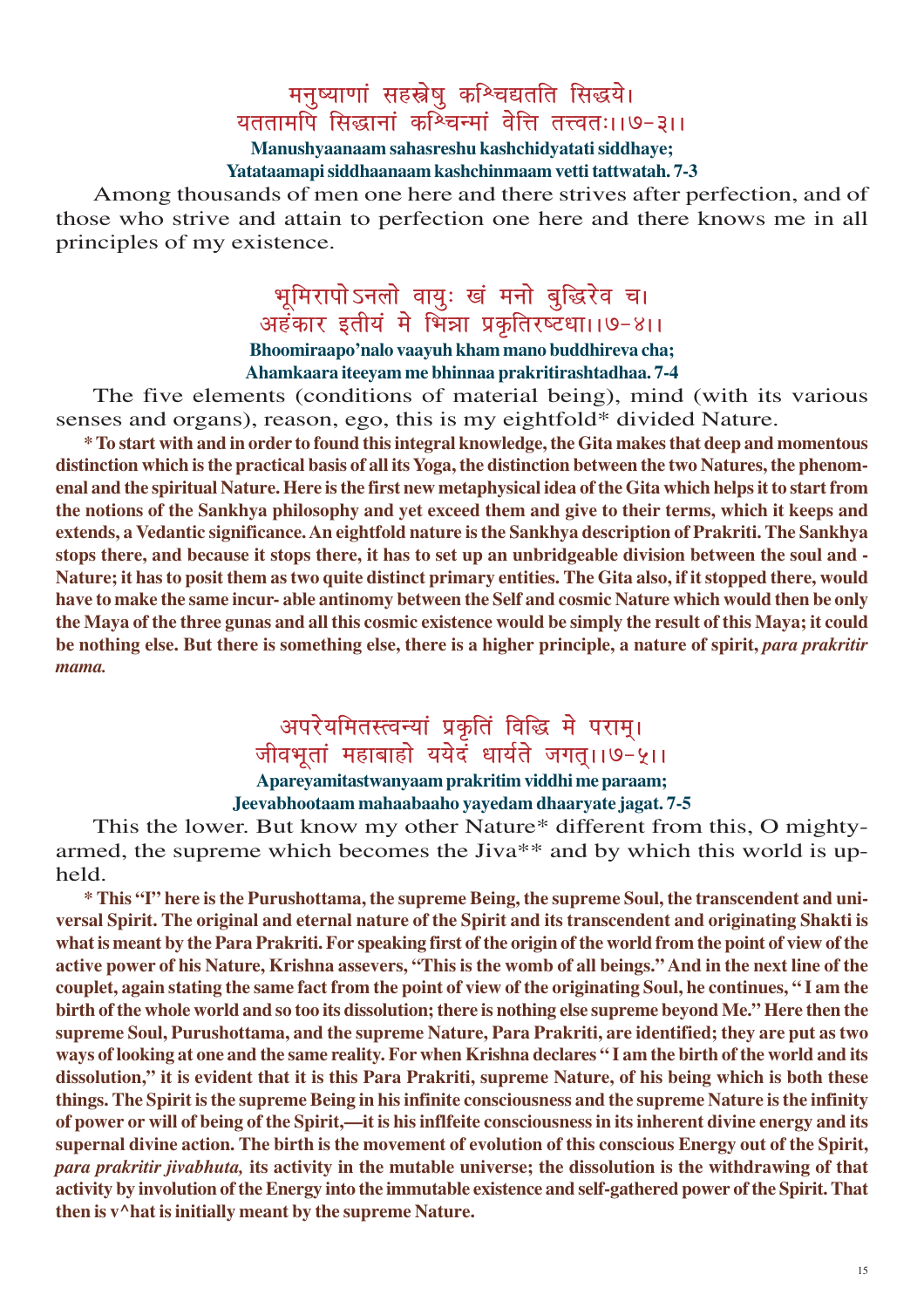### मनुष्याणां सहस्त्रेषु कश्चिद्यतति सिद्धये। यततामपि सिद्धानां कश्चिन्मां वेत्ति तत्त्वतः।।७-३।। **Manushyaanaam sahasreshu kashchidyatati siddhaye;**

#### **Yatataamapi siddhaanaam kashchinmaam vetti tattwatah. 7-3**

Among thousands of men one here and there strives after perfection, and of those who strive and attain to perfection one here and there knows me in all principles of my existence.

#### भूमिरापोऽनलो<sub>.</sub> वायुः खं मनो बु<mark>द्धिरेव च</mark>। अर्हकार इतीयं मे भिन्ना प्रकृतिरष्टधा।।७-४।। **Bhoomiraapo'nalo vaayuh kham mano buddhireva cha; Ahamkaara iteeyam me bhinnaa prakritirashtadhaa. 7-4**

The five elements (conditions of material being), mind (with its various senses and organs), reason, ego, this is my eightfold\* divided Nature.

**\* To start with and in order to found this integral knowledge, the Gita makes that deep and momentous distinction which is the practical basis of all its Yoga, the distinction between the two Natures, the phenomenal and the spiritual Nature. Here is the first new metaphysical idea of the Gita which helps it to start from the notions of the Sankhya philosophy and yet exceed them and give to their terms, which it keeps and extends, a Vedantic significance. An eightfold nature is the Sankhya description of Prakriti. The Sankhya stops there, and because it stops there, it has to set up an unbridgeable division between the soul and - Nature; it has to posit them as two quite distinct primary entities. The Gita also, if it stopped there, would have to make the same incur- able antinomy between the Self and cosmic Nature which would then be only the Maya of the three gunas and all this cosmic existence would be simply the result of this Maya; it could be nothing else. But there is something else, there is a higher principle, a nature of spirit,** *para prakritir mama.*

#### अपरेयमितस्त्वन्यां प्रकृतिं विद्धि मे पराम्। जीवभूतां महाबाहो ययेदं धार्यते जगत्।।।७-५।। **Apareyamitastwanyaam prakritim viddhi me paraam; Jeevabhootaam mahaabaaho yayedam dhaaryate jagat. 7-5**

#### This the lower. But know my other Nature\* different from this, O mightyarmed, the supreme which becomes the Jiva\*\* and by which this world is upheld.

**\* This "I" here is the Purushottama, the supreme Being, the supreme Soul, the transcendent and universal Spirit. The original and eternal nature of the Spirit and its transcendent and originating Shakti is what is meant by the Para Prakriti. For speaking first of the origin of the world from the point of view of the active power of his Nature, Krishna assevers, "This is the womb of all beings." And in the next line of the couplet, again stating the same fact from the point of view of the originating Soul, he continues, " I am the birth of the whole world and so too its dissolution; there is nothing else supreme beyond Me." Here then the supreme Soul, Purushottama, and the supreme Nature, Para Prakriti, are identified; they are put as two ways of looking at one and the same reality. For when Krishna declares " I am the birth of the world and its dissolution," it is evident that it is this Para Prakriti, supreme Nature, of his being which is both these things. The Spirit is the supreme Being in his infinite consciousness and the supreme Nature is the infinity of power or will of being of the Spirit,—it is his inflfeite consciousness in its inherent divine energy and its supernal divine action. The birth is the movement of evolution of this conscious Energy out of the Spirit,** *para prakritir jivabhuta,* **its activity in the mutable universe; the dissolution is the withdrawing of that activity by involution of the Energy into the immutable existence and self-gathered power of the Spirit. That then is v^hat is initially meant by the supreme Nature.**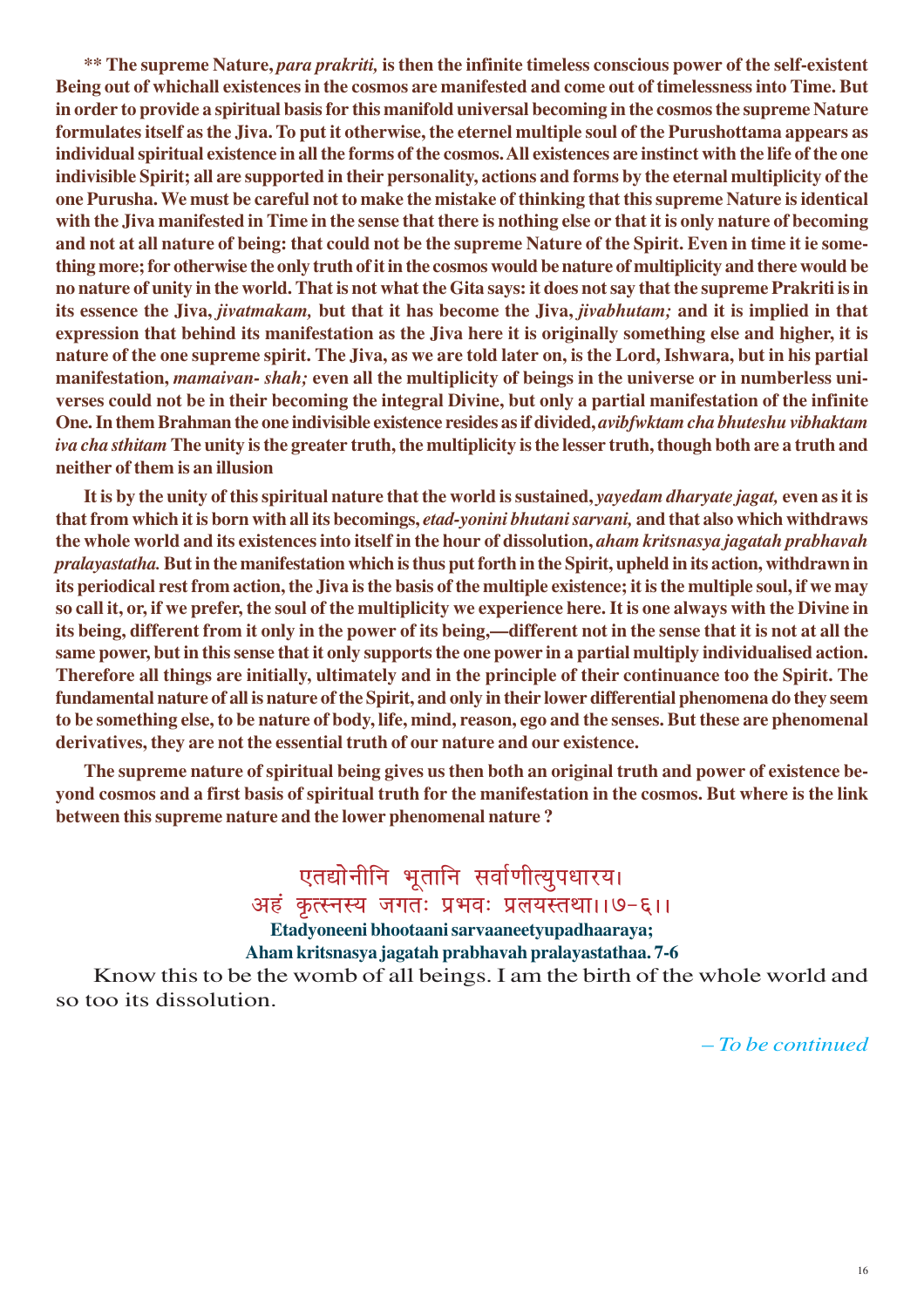**\*\* The supreme Nature,** *para prakriti,* **is then the infinite timeless conscious power of the self-existent Being out of whichall existences in the cosmos are manifested and come out of timelessness into Time. But in order to provide a spiritual basis for this manifold universal becoming in the cosmos the supreme Nature formulates itself as the Jiva. To put it otherwise, the eternel multiple soul of the Purushottama appears as individual spiritual existence in all the forms of the cosmos. All existences are instinct with the life of the one indivisible Spirit; all are supported in their personality, actions and forms by the eternal multiplicity of the one Purusha. We must be careful not to make the mistake of thinking that this supreme Nature is identical with the Jiva manifested in Time in the sense that there is nothing else or that it is only nature of becoming and not at all nature of being: that could not be the supreme Nature of the Spirit. Even in time it ie something more; for otherwise the only truth of it in the cosmos would be nature of multiplicity and there would be no nature of unity in the world. That is not what the Gita says: it does not say that the supreme Prakriti is in its essence the Jiva,** *jivatmakam,* **but that it has become the Jiva,** *jivabhutam;* **and it is implied in that expression that behind its manifestation as the Jiva here it is originally something else and higher, it is nature of the one supreme spirit. The Jiva, as we are told later on, is the Lord, Ishwara, but in his partial manifestation,** *mamaivan- shah;* **even all the multiplicity of beings in the universe or in numberless universes could not be in their becoming the integral Divine, but only a partial manifestation of the infinite One. In them Brahman the one indivisible existence resides as if divided,** *avibfwktam cha bhuteshu vibhaktam iva cha sthitam* **The unity is the greater truth, the multiplicity is the lesser truth, though both are a truth and neither of them is an illusion**

**It is by the unity of this spiritual nature that the world is sustained,** *yayedam dharyate jagat,* **even as it is that from which it is born with all its becomings,** *etad-yonini bhutani sarvani,* **and that also which withdraws the whole world and its existences into itself in the hour of dissolution,** *aham kritsnasya jagatah prabhavah pralayastatha.* **But in the manifestation which is thus put forth in the Spirit, upheld in its action, withdrawn in its periodical rest from action, the Jiva is the basis of the multiple existence; it is the multiple soul, if we may so call it, or, if we prefer, the soul of the multiplicity we experience here. It is one always with the Divine in its being, different from it only in the power of its being,—different not in the sense that it is not at all the same power, but in this sense that it only supports the one power in a partial multiply individualised action. Therefore all things are initially, ultimately and in the principle of their continuance too the Spirit. The fundamental nature of all is nature of the Spirit, and only in their lower differential phenomena do they seem to be something else, to be nature of body, life, mind, reason, ego and the senses. But these are phenomenal derivatives, they are not the essential truth of our nature and our existence.**

**The supreme nature of spiritual being gives us then both an original truth and power of existence beyond cosmos and a first basis of spiritual truth for the manifestation in the cosmos. But where is the link between this supreme nature and the lower phenomenal nature ?**

### एतद्योनीनि भूतानि सर्वाणीत्युपधारय। अहं कृत्स्नस्य जगतः प्रभवः प्रलयस्तथा।।७-६।। **Etadyoneeni bhootaani sarvaaneetyupadhaaraya; Aham kritsnasya jagatah prabhavah pralayastathaa. 7-6**

Know this to be the womb of all beings. I am the birth of the whole world and so too its dissolution.

– *To be continued*